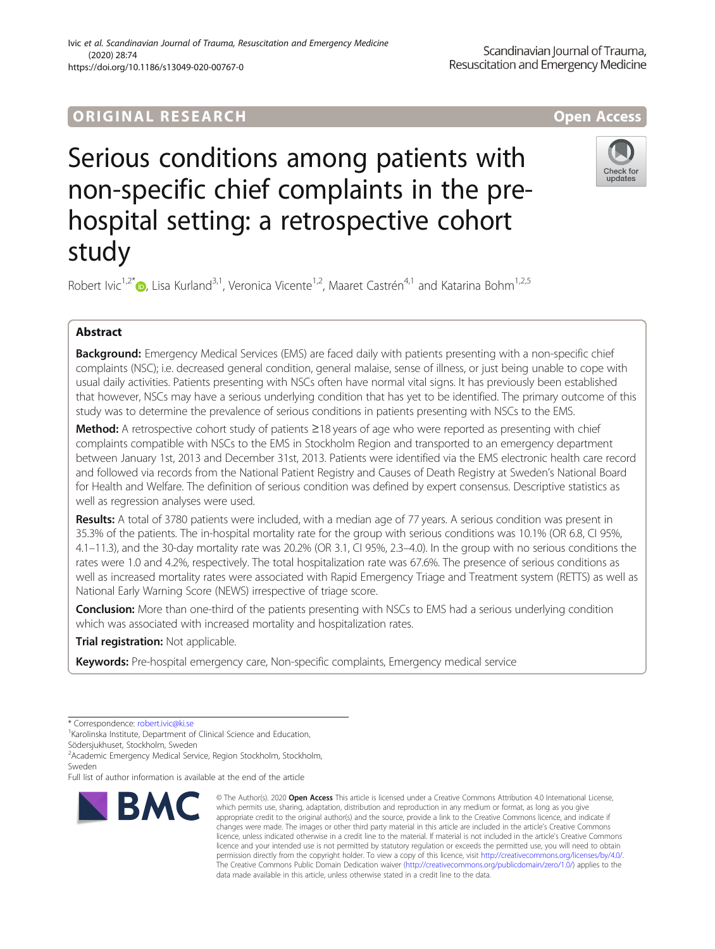## ORIGINA L R E S EA RCH Open Access

Check for undate

# Serious conditions among patients with non-specific chief complaints in the prehospital setting: a retrospective cohort study

Robert Ivic<sup>1[,](http://orcid.org/0000-0001-9136-5600)2\*</sup> <sub>(b)</sub>, Lisa Kurland<sup>3,1</sup>, Veronica Vicente<sup>1,2</sup>, Maaret Castrén<sup>4,1</sup> and Katarina Bohm<sup>1,2,5</sup>

### Abstract

Background: Emergency Medical Services (EMS) are faced daily with patients presenting with a non-specific chief complaints (NSC); i.e. decreased general condition, general malaise, sense of illness, or just being unable to cope with usual daily activities. Patients presenting with NSCs often have normal vital signs. It has previously been established that however, NSCs may have a serious underlying condition that has yet to be identified. The primary outcome of this study was to determine the prevalence of serious conditions in patients presenting with NSCs to the EMS.

Method: A retrospective cohort study of patients ≥18 years of age who were reported as presenting with chief complaints compatible with NSCs to the EMS in Stockholm Region and transported to an emergency department between January 1st, 2013 and December 31st, 2013. Patients were identified via the EMS electronic health care record and followed via records from the National Patient Registry and Causes of Death Registry at Sweden's National Board for Health and Welfare. The definition of serious condition was defined by expert consensus. Descriptive statistics as well as regression analyses were used.

Results: A total of 3780 patients were included, with a median age of 77 years. A serious condition was present in 35.3% of the patients. The in-hospital mortality rate for the group with serious conditions was 10.1% (OR 6.8, CI 95%, 4.1–11.3), and the 30-day mortality rate was 20.2% (OR 3.1, CI 95%, 2.3–4.0). In the group with no serious conditions the rates were 1.0 and 4.2%, respectively. The total hospitalization rate was 67.6%. The presence of serious conditions as well as increased mortality rates were associated with Rapid Emergency Triage and Treatment system (RETTS) as well as National Early Warning Score (NEWS) irrespective of triage score.

**Conclusion:** More than one-third of the patients presenting with NSCs to EMS had a serious underlying condition which was associated with increased mortality and hospitalization rates.

Trial registration: Not applicable.

Keywords: Pre-hospital emergency care, Non-specific complaints, Emergency medical service

2 Academic Emergency Medical Service, Region Stockholm, Stockholm, Sweden

Full list of author information is available at the end of the article



<sup>©</sup> The Author(s), 2020 **Open Access** This article is licensed under a Creative Commons Attribution 4.0 International License, which permits use, sharing, adaptation, distribution and reproduction in any medium or format, as long as you give appropriate credit to the original author(s) and the source, provide a link to the Creative Commons licence, and indicate if changes were made. The images or other third party material in this article are included in the article's Creative Commons licence, unless indicated otherwise in a credit line to the material. If material is not included in the article's Creative Commons licence and your intended use is not permitted by statutory regulation or exceeds the permitted use, you will need to obtain permission directly from the copyright holder. To view a copy of this licence, visit [http://creativecommons.org/licenses/by/4.0/.](http://creativecommons.org/licenses/by/4.0/) The Creative Commons Public Domain Dedication waiver [\(http://creativecommons.org/publicdomain/zero/1.0/](http://creativecommons.org/publicdomain/zero/1.0/)) applies to the data made available in this article, unless otherwise stated in a credit line to the data.

<sup>\*</sup> Correspondence: [robert.ivic@ki.se](mailto:robert.ivic@ki.se) <sup>1</sup>

<sup>&</sup>lt;sup>1</sup> Karolinska Institute, Department of Clinical Science and Education, Södersjukhuset, Stockholm, Sweden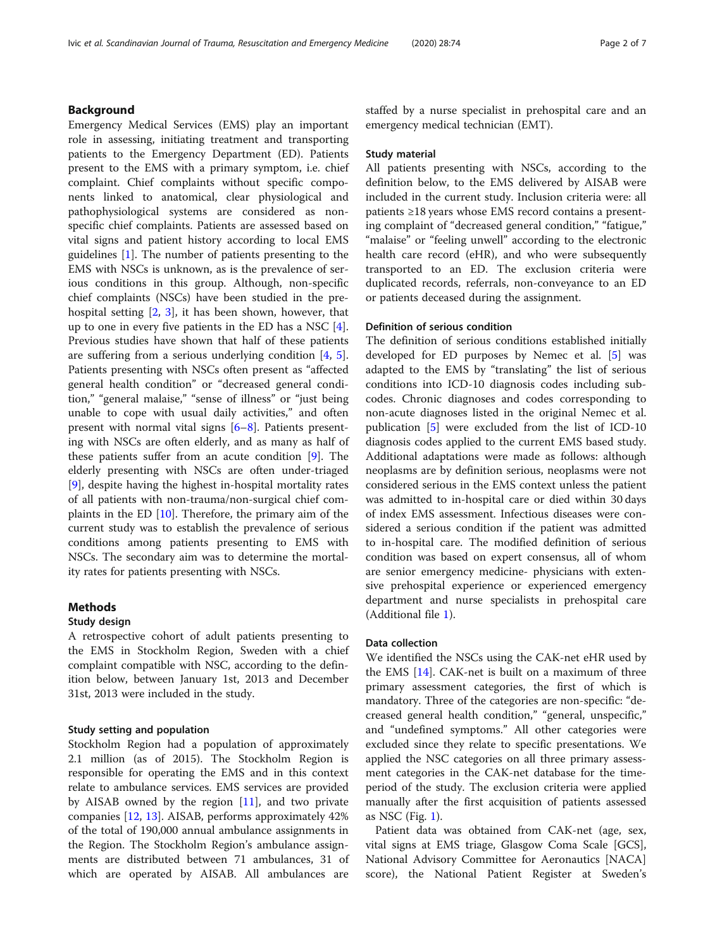#### Background

Emergency Medical Services (EMS) play an important role in assessing, initiating treatment and transporting patients to the Emergency Department (ED). Patients present to the EMS with a primary symptom, i.e. chief complaint. Chief complaints without specific components linked to anatomical, clear physiological and pathophysiological systems are considered as nonspecific chief complaints. Patients are assessed based on vital signs and patient history according to local EMS guidelines [\[1](#page-6-0)]. The number of patients presenting to the EMS with NSCs is unknown, as is the prevalence of serious conditions in this group. Although, non-specific chief complaints (NSCs) have been studied in the prehospital setting [[2,](#page-6-0) [3\]](#page-6-0), it has been shown, however, that up to one in every five patients in the ED has a NSC [\[4](#page-6-0)]. Previous studies have shown that half of these patients are suffering from a serious underlying condition [[4](#page-6-0), [5](#page-6-0)]. Patients presenting with NSCs often present as "affected general health condition" or "decreased general condition," "general malaise," "sense of illness" or "just being unable to cope with usual daily activities," and often present with normal vital signs  $[6-8]$  $[6-8]$  $[6-8]$ . Patients presenting with NSCs are often elderly, and as many as half of these patients suffer from an acute condition [\[9](#page-6-0)]. The elderly presenting with NSCs are often under-triaged [[9\]](#page-6-0), despite having the highest in-hospital mortality rates of all patients with non-trauma/non-surgical chief complaints in the ED [\[10\]](#page-6-0). Therefore, the primary aim of the current study was to establish the prevalence of serious conditions among patients presenting to EMS with NSCs. The secondary aim was to determine the mortality rates for patients presenting with NSCs.

#### Methods

#### Study design

A retrospective cohort of adult patients presenting to the EMS in Stockholm Region, Sweden with a chief complaint compatible with NSC, according to the definition below, between January 1st, 2013 and December 31st, 2013 were included in the study.

#### Study setting and population

Stockholm Region had a population of approximately 2.1 million (as of 2015). The Stockholm Region is responsible for operating the EMS and in this context relate to ambulance services. EMS services are provided by AISAB owned by the region  $[11]$  $[11]$ , and two private companies [\[12](#page-6-0), [13](#page-6-0)]. AISAB, performs approximately 42% of the total of 190,000 annual ambulance assignments in the Region. The Stockholm Region's ambulance assignments are distributed between 71 ambulances, 31 of which are operated by AISAB. All ambulances are staffed by a nurse specialist in prehospital care and an emergency medical technician (EMT).

#### Study material

All patients presenting with NSCs, according to the definition below, to the EMS delivered by AISAB were included in the current study. Inclusion criteria were: all patients ≥18 years whose EMS record contains a presenting complaint of "decreased general condition," "fatigue," "malaise" or "feeling unwell" according to the electronic health care record (eHR), and who were subsequently transported to an ED. The exclusion criteria were duplicated records, referrals, non-conveyance to an ED or patients deceased during the assignment.

#### Definition of serious condition

The definition of serious conditions established initially developed for ED purposes by Nemec et al. [[5\]](#page-6-0) was adapted to the EMS by "translating" the list of serious conditions into ICD-10 diagnosis codes including subcodes. Chronic diagnoses and codes corresponding to non-acute diagnoses listed in the original Nemec et al. publication [\[5](#page-6-0)] were excluded from the list of ICD-10 diagnosis codes applied to the current EMS based study. Additional adaptations were made as follows: although neoplasms are by definition serious, neoplasms were not considered serious in the EMS context unless the patient was admitted to in-hospital care or died within 30 days of index EMS assessment. Infectious diseases were considered a serious condition if the patient was admitted to in-hospital care. The modified definition of serious condition was based on expert consensus, all of whom are senior emergency medicine- physicians with extensive prehospital experience or experienced emergency department and nurse specialists in prehospital care (Additional file [1](#page-6-0)).

#### Data collection

We identified the NSCs using the CAK-net eHR used by the EMS [[14](#page-6-0)]. CAK-net is built on a maximum of three primary assessment categories, the first of which is mandatory. Three of the categories are non-specific: "decreased general health condition," "general, unspecific," and "undefined symptoms." All other categories were excluded since they relate to specific presentations. We applied the NSC categories on all three primary assessment categories in the CAK-net database for the timeperiod of the study. The exclusion criteria were applied manually after the first acquisition of patients assessed as NSC (Fig. [1](#page-2-0)).

Patient data was obtained from CAK-net (age, sex, vital signs at EMS triage, Glasgow Coma Scale [GCS], National Advisory Committee for Aeronautics [NACA] score), the National Patient Register at Sweden's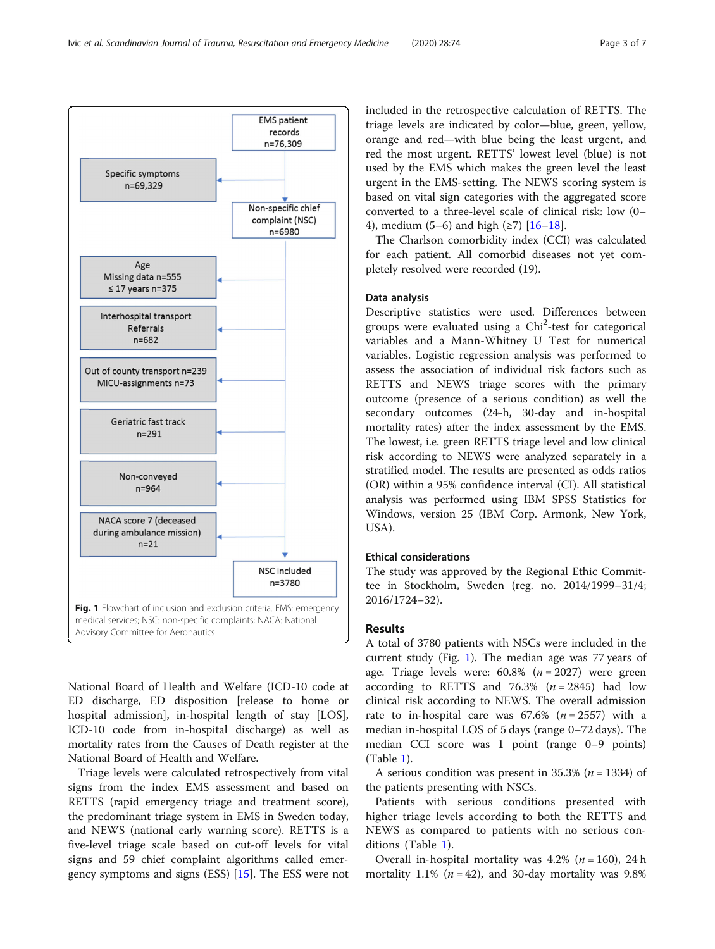<span id="page-2-0"></span>

National Board of Health and Welfare (ICD-10 code at ED discharge, ED disposition [release to home or hospital admission], in-hospital length of stay [LOS], ICD-10 code from in-hospital discharge) as well as mortality rates from the Causes of Death register at the National Board of Health and Welfare.

Triage levels were calculated retrospectively from vital signs from the index EMS assessment and based on RETTS (rapid emergency triage and treatment score), the predominant triage system in EMS in Sweden today, and NEWS (national early warning score). RETTS is a five-level triage scale based on cut-off levels for vital signs and 59 chief complaint algorithms called emergency symptoms and signs (ESS) [[15\]](#page-6-0). The ESS were not included in the retrospective calculation of RETTS. The triage levels are indicated by color—blue, green, yellow, orange and red—with blue being the least urgent, and red the most urgent. RETTS' lowest level (blue) is not used by the EMS which makes the green level the least urgent in the EMS-setting. The NEWS scoring system is based on vital sign categories with the aggregated score converted to a three-level scale of clinical risk: low (0– 4), medium (5–6) and high (≥7) [\[16](#page-6-0)–[18\]](#page-6-0).

The Charlson comorbidity index (CCI) was calculated for each patient. All comorbid diseases not yet completely resolved were recorded (19).

#### Data analysis

Descriptive statistics were used. Differences between groups were evaluated using a Chi<sup>2</sup>-test for categorical variables and a Mann-Whitney U Test for numerical variables. Logistic regression analysis was performed to assess the association of individual risk factors such as RETTS and NEWS triage scores with the primary outcome (presence of a serious condition) as well the secondary outcomes (24-h, 30-day and in-hospital mortality rates) after the index assessment by the EMS. The lowest, i.e. green RETTS triage level and low clinical risk according to NEWS were analyzed separately in a stratified model. The results are presented as odds ratios (OR) within a 95% confidence interval (CI). All statistical analysis was performed using IBM SPSS Statistics for Windows, version 25 (IBM Corp. Armonk, New York, USA).

#### Ethical considerations

The study was approved by the Regional Ethic Committee in Stockholm, Sweden (reg. no. 2014/1999–31/4; 2016/1724–32).

#### **Results**

A total of 3780 patients with NSCs were included in the current study (Fig. 1). The median age was  $77$  years of age. Triage levels were:  $60.8\%$  ( $n = 2027$ ) were green according to RETTS and 76.3%  $(n = 2845)$  had low clinical risk according to NEWS. The overall admission rate to in-hospital care was  $67.6\%$  ( $n = 2557$ ) with a median in-hospital LOS of 5 days (range 0–72 days). The median CCI score was 1 point (range 0–9 points) (Table [1\)](#page-3-0).

A serious condition was present in 35.3% ( $n = 1334$ ) of the patients presenting with NSCs.

Patients with serious conditions presented with higher triage levels according to both the RETTS and NEWS as compared to patients with no serious conditions (Table [1\)](#page-3-0).

Overall in-hospital mortality was  $4.2\%$  ( $n = 160$ ), 24 h mortality 1.1% ( $n = 42$ ), and 30-day mortality was 9.8%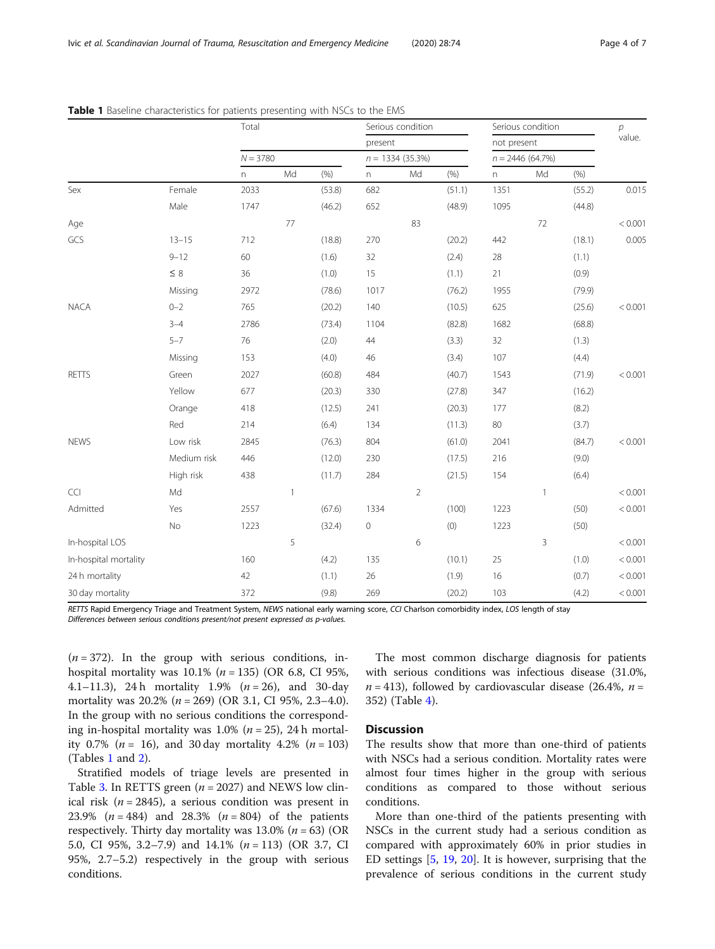|                       |             | Total<br>$N = 3780$       |              | Serious condition<br>present<br>$n = 1334(35.3%)$ |                |                | Serious condition<br>not present<br>$n = 2446(64.7%)$ |      |    | р<br>value. |         |
|-----------------------|-------------|---------------------------|--------------|---------------------------------------------------|----------------|----------------|-------------------------------------------------------|------|----|-------------|---------|
|                       |             |                           |              |                                                   |                |                |                                                       |      |    |             |         |
|                       |             |                           |              |                                                   |                |                |                                                       |      |    |             |         |
|                       |             | $\boldsymbol{\mathsf{n}}$ | Md           | (% )                                              | $\overline{n}$ | Md             | $(\% )$                                               | n    | Md | (% )        |         |
| Sex                   | Female      | 2033                      |              | (53.8)                                            | 682            |                | (51.1)                                                | 1351 |    | (55.2)      | 0.015   |
|                       | Male        | 1747                      |              | (46.2)                                            | 652            |                | (48.9)                                                | 1095 |    | (44.8)      |         |
| Age                   |             |                           | 77           |                                                   |                | 83             |                                                       |      | 72 |             | < 0.001 |
| GCS                   | $13 - 15$   | 712                       |              | (18.8)                                            | 270            |                | (20.2)                                                | 442  |    | (18.1)      | 0.005   |
|                       | $9 - 12$    | 60                        |              | (1.6)                                             | 32             |                | (2.4)                                                 | 28   |    | (1.1)       |         |
|                       | $\leq$ 8    | 36                        |              | (1.0)                                             | 15             |                | (1.1)                                                 | 21   |    | (0.9)       |         |
|                       | Missing     | 2972                      |              | (78.6)                                            | 1017           |                | (76.2)                                                | 1955 |    | (79.9)      |         |
| <b>NACA</b>           | $0 - 2$     | 765                       |              | (20.2)                                            | 140            |                | (10.5)                                                | 625  |    | (25.6)      | < 0.001 |
|                       | $3 - 4$     | 2786                      |              | (73.4)                                            | 1104           |                | (82.8)                                                | 1682 |    | (68.8)      |         |
|                       | $5 - 7$     | 76                        |              | (2.0)                                             | 44             |                | (3.3)                                                 | 32   |    | (1.3)       |         |
|                       | Missing     | 153                       |              | (4.0)                                             | 46             |                | (3.4)                                                 | 107  |    | (4.4)       |         |
| <b>RETTS</b>          | Green       | 2027                      |              | (60.8)                                            | 484            |                | (40.7)                                                | 1543 |    | (71.9)      | < 0.001 |
|                       | Yellow      | 677                       |              | (20.3)                                            | 330            |                | (27.8)                                                | 347  |    | (16.2)      |         |
|                       | Orange      | 418                       |              | (12.5)                                            | 241            |                | (20.3)                                                | 177  |    | (8.2)       |         |
|                       | Red         | 214                       |              | (6.4)                                             | 134            |                | (11.3)                                                | 80   |    | (3.7)       |         |
| <b>NEWS</b>           | Low risk    | 2845                      |              | (76.3)                                            | 804            |                | (61.0)                                                | 2041 |    | (84.7)      | < 0.001 |
|                       | Medium risk | 446                       |              | (12.0)                                            | 230            |                | (17.5)                                                | 216  |    | (9.0)       |         |
|                       | High risk   | 438                       |              | (11.7)                                            | 284            |                | (21.5)                                                | 154  |    | (6.4)       |         |
| <b>CCI</b>            | Md          |                           | $\mathbf{1}$ |                                                   |                | $\overline{2}$ |                                                       |      | 1  |             | < 0.001 |
| Admitted              | Yes         | 2557                      |              | (67.6)                                            | 1334           |                | (100)                                                 | 1223 |    | (50)        | < 0.001 |
|                       | No          | 1223                      |              | (32.4)                                            | 0              |                | (0)                                                   | 1223 |    | (50)        |         |
| In-hospital LOS       |             |                           | 5            |                                                   |                | 6              |                                                       |      | 3  |             | < 0.001 |
| In-hospital mortality |             | 160                       |              | (4.2)                                             | 135            |                | (10.1)                                                | 25   |    | (1.0)       | < 0.001 |
| 24 h mortality        |             | 42                        |              | (1.1)                                             | 26             |                | (1.9)                                                 | 16   |    | (0.7)       | < 0.001 |
| 30 day mortality      |             | 372                       |              | (9.8)                                             | 269            |                | (20.2)                                                | 103  |    | (4.2)       | < 0.001 |

<span id="page-3-0"></span>Table 1 Baseline characteristics for patients presenting with NSCs to the EMS

RETTS Rapid Emergency Triage and Treatment System, NEWS national early warning score, CCI Charlson comorbidity index, LOS length of stay Differences between serious conditions present/not present expressed as p-values.

 $(n = 372)$ . In the group with serious conditions, inhospital mortality was  $10.1\%$  ( $n = 135$ ) (OR 6.8, CI 95%, 4.1–11.3), 24 h mortality 1.9%  $(n = 26)$ , and 30-day mortality was  $20.2\%$  ( $n = 269$ ) (OR 3.1, CI 95%, 2.3–4.0). In the group with no serious conditions the corresponding in-hospital mortality was  $1.0\%$  ( $n = 25$ ), 24 h mortality 0.7% ( $n = 16$ ), and 30 day mortality 4.2% ( $n = 103$ ) (Tables 1 and [2](#page-4-0)).

Stratified models of triage levels are presented in Table [3](#page-5-0). In RETTS green ( $n = 2027$ ) and NEWS low clinical risk ( $n = 2845$ ), a serious condition was present in 23.9% ( $n = 484$ ) and 28.3% ( $n = 804$ ) of the patients respectively. Thirty day mortality was  $13.0\%$  ( $n = 63$ ) (OR 5.0, CI 95%, 3.2–7.9) and 14.1% (n = 113) (OR 3.7, CI 95%, 2.7–5.2) respectively in the group with serious conditions.

The most common discharge diagnosis for patients with serious conditions was infectious disease (31.0%,  $n = 413$ ), followed by cardiovascular disease (26.4%,  $n =$ 352) (Table [4\)](#page-4-0).

#### **Discussion**

The results show that more than one-third of patients with NSCs had a serious condition. Mortality rates were almost four times higher in the group with serious conditions as compared to those without serious conditions.

More than one-third of the patients presenting with NSCs in the current study had a serious condition as compared with approximately 60% in prior studies in ED settings  $[5, 19, 20]$  $[5, 19, 20]$  $[5, 19, 20]$  $[5, 19, 20]$  $[5, 19, 20]$  $[5, 19, 20]$ . It is however, surprising that the prevalence of serious conditions in the current study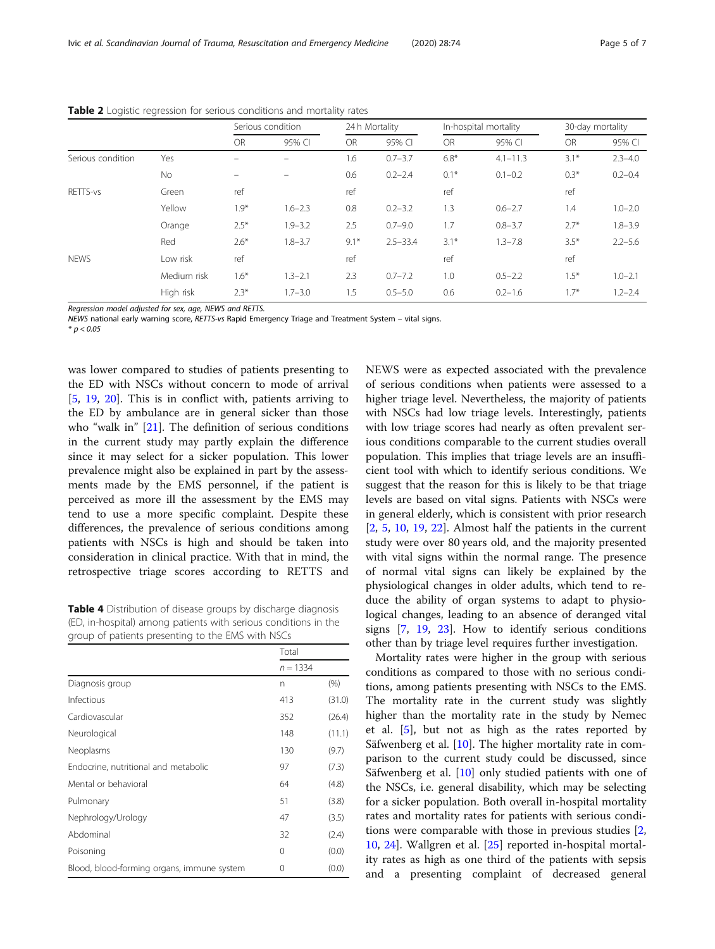|                   |             | Serious condition |             | 24 h Mortality |              | In-hospital mortality |              | 30-day mortality |             |
|-------------------|-------------|-------------------|-------------|----------------|--------------|-----------------------|--------------|------------------|-------------|
|                   |             | <b>OR</b>         | 95% CI      | <b>OR</b>      | 95% CI       | <b>OR</b>             | 95% CI       | <b>OR</b>        | 95% CI      |
| Serious condition | Yes         |                   |             | 1.6            | $0.7 - 3.7$  | $6.8*$                | $4.1 - 11.3$ | $3.1*$           | $2.3 - 4.0$ |
|                   | No          |                   |             | 0.6            | $0.2 - 2.4$  | $0.1*$                | $0.1 - 0.2$  | $0.3*$           | $0.2 - 0.4$ |
| RETTS-vs          | Green       | ref               |             | ref            |              | ref                   |              | ref              |             |
|                   | Yellow      | $1.9*$            | $1.6 - 2.3$ | 0.8            | $0.2 - 3.2$  | 1.3                   | $0.6 - 2.7$  | 1.4              | $1.0 - 2.0$ |
|                   | Orange      | $2.5*$            | $1.9 - 3.2$ | 2.5            | $0.7 - 9.0$  | 1.7                   | $0.8 - 3.7$  | $2.7*$           | $1.8 - 3.9$ |
|                   | Red         | $2.6*$            | $1.8 - 3.7$ | $9.1*$         | $2.5 - 33.4$ | $3.1*$                | $1.3 - 7.8$  | $3.5*$           | $2.2 - 5.6$ |
| <b>NEWS</b>       | Low risk    | ref               |             | ref            |              | ref                   |              | ref              |             |
|                   | Medium risk | $1.6*$            | $1.3 - 2.1$ | 2.3            | $0.7 - 7.2$  | 1.0                   | $0.5 - 2.2$  | $1.5*$           | $1.0 - 2.1$ |
|                   | High risk   | $2.3*$            | $1.7 - 3.0$ | 1.5            | $0.5 - 5.0$  | 0.6                   | $0.2 - 1.6$  | $1.7*$           | $1.2 - 2.4$ |

<span id="page-4-0"></span>Table 2 Logistic regression for serious conditions and mortality rates

Regression model adjusted for sex, age, NEWS and RETTS.

NEWS national early warning score, RETTS-vs Rapid Emergency Triage and Treatment System – vital signs.

 $* p < 0.05$ 

was lower compared to studies of patients presenting to the ED with NSCs without concern to mode of arrival [[5,](#page-6-0) [19,](#page-6-0) [20](#page-6-0)]. This is in conflict with, patients arriving to the ED by ambulance are in general sicker than those who "walk in" [\[21\]](#page-6-0). The definition of serious conditions in the current study may partly explain the difference since it may select for a sicker population. This lower prevalence might also be explained in part by the assessments made by the EMS personnel, if the patient is perceived as more ill the assessment by the EMS may tend to use a more specific complaint. Despite these differences, the prevalence of serious conditions among patients with NSCs is high and should be taken into consideration in clinical practice. With that in mind, the retrospective triage scores according to RETTS and

Table 4 Distribution of disease groups by discharge diagnosis (ED, in-hospital) among patients with serious conditions in the group of patients presenting to the EMS with NSCs

|                                            | Total      |        |
|--------------------------------------------|------------|--------|
|                                            | $n = 1334$ |        |
| Diagnosis group                            | n          | (%)    |
| Infectious                                 | 413        | (31.0) |
| Cardiovascular                             | 352        | (26.4) |
| Neurological                               | 148        | (11.1) |
| Neoplasms                                  | 130        | (9.7)  |
| Endocrine, nutritional and metabolic       | 97         | (7.3)  |
| Mental or behavioral                       | 64         | (4.8)  |
| Pulmonary                                  | 51         | (3.8)  |
| Nephrology/Urology                         | 47         | (3.5)  |
| Abdominal                                  | 32         | (2.4)  |
| Poisoning                                  | 0          | (0.0)  |
| Blood, blood-forming organs, immune system | 0          | (0.0)  |

NEWS were as expected associated with the prevalence of serious conditions when patients were assessed to a higher triage level. Nevertheless, the majority of patients with NSCs had low triage levels. Interestingly, patients with low triage scores had nearly as often prevalent serious conditions comparable to the current studies overall population. This implies that triage levels are an insufficient tool with which to identify serious conditions. We suggest that the reason for this is likely to be that triage levels are based on vital signs. Patients with NSCs were in general elderly, which is consistent with prior research  $[2, 5, 10, 19, 22]$  $[2, 5, 10, 19, 22]$  $[2, 5, 10, 19, 22]$  $[2, 5, 10, 19, 22]$  $[2, 5, 10, 19, 22]$  $[2, 5, 10, 19, 22]$  $[2, 5, 10, 19, 22]$  $[2, 5, 10, 19, 22]$  $[2, 5, 10, 19, 22]$  $[2, 5, 10, 19, 22]$  $[2, 5, 10, 19, 22]$ . Almost half the patients in the current study were over 80 years old, and the majority presented with vital signs within the normal range. The presence of normal vital signs can likely be explained by the physiological changes in older adults, which tend to reduce the ability of organ systems to adapt to physiological changes, leading to an absence of deranged vital signs [[7,](#page-6-0) [19,](#page-6-0) [23](#page-6-0)]. How to identify serious conditions other than by triage level requires further investigation.

Mortality rates were higher in the group with serious conditions as compared to those with no serious conditions, among patients presenting with NSCs to the EMS. The mortality rate in the current study was slightly higher than the mortality rate in the study by Nemec et al. [\[5](#page-6-0)], but not as high as the rates reported by Säfwenberg et al. [[10](#page-6-0)]. The higher mortality rate in comparison to the current study could be discussed, since Säfwenberg et al. [[10\]](#page-6-0) only studied patients with one of the NSCs, i.e. general disability, which may be selecting for a sicker population. Both overall in-hospital mortality rates and mortality rates for patients with serious conditions were comparable with those in previous studies [[2](#page-6-0), [10,](#page-6-0) [24\]](#page-6-0). Wallgren et al. [\[25](#page-6-0)] reported in-hospital mortality rates as high as one third of the patients with sepsis and a presenting complaint of decreased general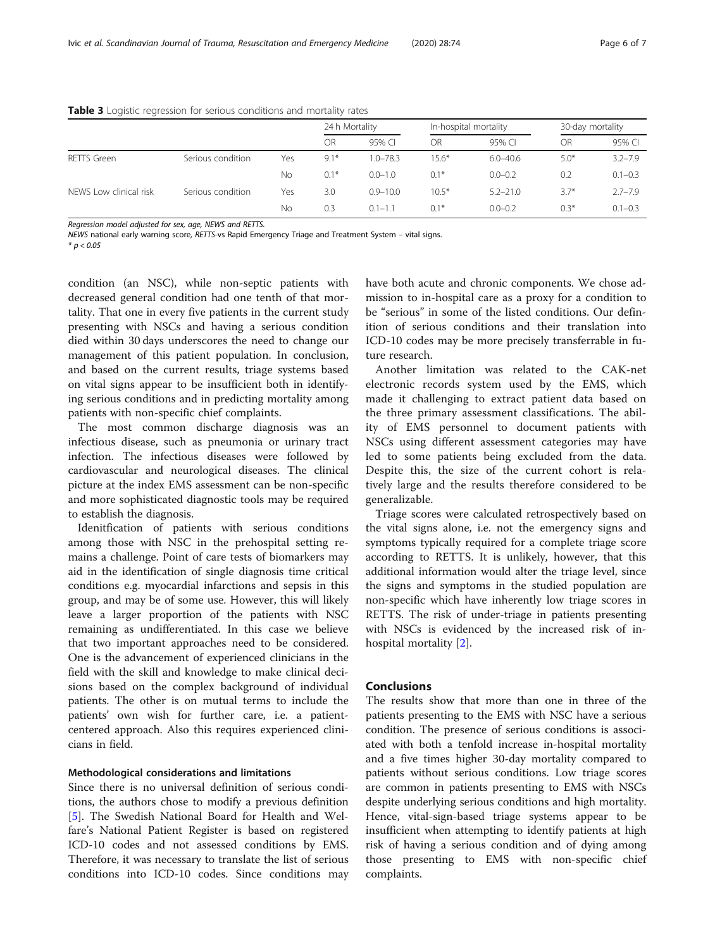|                        |                   |     | 24 h Mortality |              | In-hospital mortality |              | 30-day mortality |             |
|------------------------|-------------------|-----|----------------|--------------|-----------------------|--------------|------------------|-------------|
|                        |                   |     | <b>OR</b>      | 95% CI       | OR                    | 95% CI       | OR               | 95% CI      |
| <b>RETTS Green</b>     | Serious condition | Yes | $9.1*$         | $1.0 - 78.3$ | $15.6*$               | $6.0 - 40.6$ | $5.0*$           | $3.2 - 7.9$ |
|                        |                   | No  | $0.1*$         | $0.0 - 1.0$  | $0.1*$                | $0.0 - 0.2$  | 0.2              | $0.1 - 0.3$ |
| NEWS Low clinical risk | Serious condition | Yes | 3.0            | $0.9 - 10.0$ | $10.5*$               | $5.2 - 21.0$ | $3.7*$           | $2.7 - 7.9$ |
|                        |                   | No  | 0.3            | $0.1 - 1.1$  | $0.1*$                | $0.0 - 0.2$  | $0.3*$           | $0.1 - 0.3$ |

#### <span id="page-5-0"></span>Table 3 Logistic regression for serious conditions and mortality rates

Regression model adjusted for sex, age, NEWS and RETTS.

NEWS national early warning score, RETTS-vs Rapid Emergency Triage and Treatment System – vital signs.

 $*$  p < 0.05

condition (an NSC), while non-septic patients with decreased general condition had one tenth of that mortality. That one in every five patients in the current study presenting with NSCs and having a serious condition died within 30 days underscores the need to change our management of this patient population. In conclusion, and based on the current results, triage systems based on vital signs appear to be insufficient both in identifying serious conditions and in predicting mortality among patients with non-specific chief complaints.

The most common discharge diagnosis was an infectious disease, such as pneumonia or urinary tract infection. The infectious diseases were followed by cardiovascular and neurological diseases. The clinical picture at the index EMS assessment can be non-specific and more sophisticated diagnostic tools may be required to establish the diagnosis.

Idenitfication of patients with serious conditions among those with NSC in the prehospital setting remains a challenge. Point of care tests of biomarkers may aid in the identification of single diagnosis time critical conditions e.g. myocardial infarctions and sepsis in this group, and may be of some use. However, this will likely leave a larger proportion of the patients with NSC remaining as undifferentiated. In this case we believe that two important approaches need to be considered. One is the advancement of experienced clinicians in the field with the skill and knowledge to make clinical decisions based on the complex background of individual patients. The other is on mutual terms to include the patients' own wish for further care, i.e. a patientcentered approach. Also this requires experienced clinicians in field.

#### Methodological considerations and limitations

Since there is no universal definition of serious conditions, the authors chose to modify a previous definition [[5\]](#page-6-0). The Swedish National Board for Health and Welfare's National Patient Register is based on registered ICD-10 codes and not assessed conditions by EMS. Therefore, it was necessary to translate the list of serious conditions into ICD-10 codes. Since conditions may have both acute and chronic components. We chose admission to in-hospital care as a proxy for a condition to be "serious" in some of the listed conditions. Our definition of serious conditions and their translation into ICD-10 codes may be more precisely transferrable in future research.

Another limitation was related to the CAK-net electronic records system used by the EMS, which made it challenging to extract patient data based on the three primary assessment classifications. The ability of EMS personnel to document patients with NSCs using different assessment categories may have led to some patients being excluded from the data. Despite this, the size of the current cohort is relatively large and the results therefore considered to be generalizable.

Triage scores were calculated retrospectively based on the vital signs alone, i.e. not the emergency signs and symptoms typically required for a complete triage score according to RETTS. It is unlikely, however, that this additional information would alter the triage level, since the signs and symptoms in the studied population are non-specific which have inherently low triage scores in RETTS. The risk of under-triage in patients presenting with NSCs is evidenced by the increased risk of inhospital mortality [\[2](#page-6-0)].

#### Conclusions

The results show that more than one in three of the patients presenting to the EMS with NSC have a serious condition. The presence of serious conditions is associated with both a tenfold increase in-hospital mortality and a five times higher 30-day mortality compared to patients without serious conditions. Low triage scores are common in patients presenting to EMS with NSCs despite underlying serious conditions and high mortality. Hence, vital-sign-based triage systems appear to be insufficient when attempting to identify patients at high risk of having a serious condition and of dying among those presenting to EMS with non-specific chief complaints.